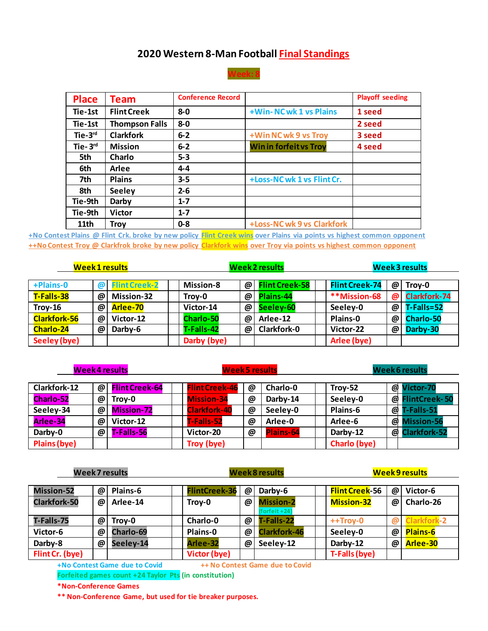## **2020 Western 8-Man Football Final Standings**



| <b>Place</b>     | <b>Team</b>           | <b>Conference Record</b> |                              | <b>Playoff seeding</b> |
|------------------|-----------------------|--------------------------|------------------------------|------------------------|
| Tie-1st          | <b>Flint Creek</b>    | $8 - 0$                  | +Win-NCwk 1 vs Plains        | 1 seed                 |
| Tie-1st          | <b>Thompson Falls</b> | $8 - 0$                  |                              | 2 seed                 |
| $Tie-3rd$        | <b>Clarkfork</b>      | $6 - 2$                  | +Win NC wk 9 vs Troy         | 3 seed                 |
| Tie- $3rd$       | <b>Mission</b>        | $6 - 2$                  | <b>Winin forfeit vs Troy</b> | 4 seed                 |
| 5th              | Charlo                | $5 - 3$                  |                              |                        |
| 6th              | Arlee                 | $4 - 4$                  |                              |                        |
| 7th              | <b>Plains</b>         | $3 - 5$                  | +Loss-NC wk 1 vs Flint Cr.   |                        |
| 8th              | <b>Seeley</b>         | $2 - 6$                  |                              |                        |
| Tie-9th          | Darby                 | $1 - 7$                  |                              |                        |
| Tie-9th          | <b>Victor</b>         | $1 - 7$                  |                              |                        |
| 11 <sub>th</sub> | Trov                  | $0 - 8$                  | +Loss-NC wk 9 vs Clarkfork   |                        |

**+No Contest Plains @ Flint Crk. broke by new policy Flint Creek wins over Plains via points vs highest common opponent ++No Contest Troy @ Clarkfrok broke by new policy Clarkfork wins over Troy via points vs highest common opponent**

| <b>Week 1 results</b> |                       |                      | <b>Week 2 results</b> |   |                       | <b>Week 3 results</b> |   |                     |
|-----------------------|-----------------------|----------------------|-----------------------|---|-----------------------|-----------------------|---|---------------------|
| +Plains-0             | $\boldsymbol{\varpi}$ | <b>Flint Creek-2</b> | <b>Mission-8</b>      | @ | <b>Flint Creek-58</b> | <b>Flint Creek-74</b> | @ | Troy-0              |
| T-Falls-38            | @                     | <b>Mission-32</b>    | Troy-0                | @ | Plains-44             | **Mission-68          | @ | <b>Clarkfork-74</b> |
| $Troy-16$             | @                     | Arlee-70             | Victor-14             | @ | Seeley-60             | Seeley-0              | @ | T-Falls=52          |
| <b>Clarkfork-56</b>   | @                     | Victor-12            | <b>Charlo-50</b>      | @ | Arlee-12              | Plains-0              | @ | <b>Charlo-50</b>    |
| <b>Charlo-24</b>      | @                     | Darby-6              | T-Falls-42            | @ | <b>Clarkfork-0</b>    | Victor-22             | @ | Darby-30            |
| Seeley (bye)          |                       |                      | Darby (bye)           |   |                       | Arlee (bye)           |   |                     |

| Week 4 results   |          |                       | <b>Week5 results</b> |                       |   | Week 6 results   |              |                  |                     |
|------------------|----------|-----------------------|----------------------|-----------------------|---|------------------|--------------|------------------|---------------------|
| Clarkfork-12     | $\omega$ | <b>Flint Creek-64</b> |                      | <b>Flint Creek-46</b> | @ | Charlo-0         | Troy-52      |                  | @ Victor-70         |
| <b>Charlo-52</b> | @        | Troy-0                |                      | <b>Mission-34</b>     | @ | Darby-14         | Seeley-0     |                  | @ FlintCreek-50     |
| Seeley-34        | @        | <b>Mission-72</b>     |                      | <b>Clarkfork-40</b>   | @ | Seeley-0         | Plains-6     | $\boldsymbol{a}$ | T-Falls-51          |
| Arlee-34         | @        | Victor-12             |                      | T-Falls-52            | @ | Arlee-0          | Arlee-6      | $\boldsymbol{a}$ | <b>Mission-56</b>   |
| Darby-0          | @        | T-Falls-56            |                      | Victor-20             | @ | <b>Plains-64</b> | Darby-12     | $\boldsymbol{a}$ | <b>Clarkfork-52</b> |
| Plains (bye)     |          |                       |                      | Troy (bye)            |   |                  | Charlo (bye) |                  |                     |

| <b>Week 7 results</b> |   |                  | <b>Week 8 results</b> |                       |                                   | <b>Week 9 results</b> |   |                   |
|-----------------------|---|------------------|-----------------------|-----------------------|-----------------------------------|-----------------------|---|-------------------|
| <b>Mission-52</b>     | @ | Plains-6         | <b>FlintCreek-36</b>  | @                     | Darby-6                           | <b>Flint Creek-56</b> | @ | Victor-6          |
| <b>Clarkfork-50</b>   | @ | Arlee-14         | Troy-0                | @                     | <b>Mission-2</b><br>(forfeit +24) | <b>Mission-32</b>     | @ | Charlo-26         |
| T-Falls-75            | @ | Troy-0           | Charlo-0              | @                     | T-Falls-22                        | $++Troy-0$            | @ | <b>larkfork-2</b> |
| Victor-6              | @ | <b>Charlo-69</b> | <b>Plains-0</b>       | $\boldsymbol{\varpi}$ | <b>Clarkfork-46</b>               | Seeley-0              | @ | <b>Plains-6</b>   |
| Darby-8               | @ | Seeley-14        | Arlee-32              | @                     | Seeley-12                         | Darby-12              | @ | Arlee-30          |
| Flint Cr. (bye)       |   |                  | Victor (bye)          |                       |                                   | T-Falls (bye)         |   |                   |

**+No Contest Game due to Covid ++ No Contest Game due to Covid**

**Forfeited games count +24 Taylor Pts (in constitution)**

**\*Non-Conference Games**

**\*\* Non-Conference Game, but used for tie breaker purposes.**